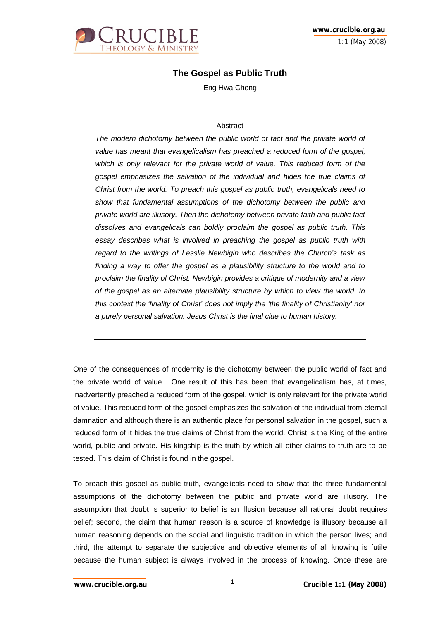

# **The Gospel as Public Truth**

Eng Hwa Cheng

### **Abstract**

The modern dichotomy between the public world of fact and the private world of *value has meant that evangelicalism has preached a reduced form of the gospel,*  which is only relevant for the private world of value. This reduced form of the *gospel emphasizes the salvation of the individual and hides the true claims of Christ from the world. To preach this gospel as public truth, evangelicals need to show that fundamental assumptions of the dichotomy between the public and private world are illusory. Then the dichotomy between private faith and public fact dissolves and evangelicals can boldly proclaim the gospel as public truth. This essay describes what is involved in preaching the gospel as public truth with regard to the writings of Lesslie Newbigin who describes the Church's task as finding a way to offer the gospel as a plausibility structure to the world and to proclaim the finality of Christ. Newbigin provides a critique of modernity and a view of the gospel as an alternate plausibility structure by which to view the world. In this context the 'finality of Christ' does not imply the 'the finality of Christianity' nor a purely personal salvation. Jesus Christ is the final clue to human history.* 

One of the consequences of modernity is the dichotomy between the public world of fact and the private world of value. One result of this has been that evangelicalism has, at times, inadvertently preached a reduced form of the gospel, which is only relevant for the private world of value. This reduced form of the gospel emphasizes the salvation of the individual from eternal damnation and although there is an authentic place for personal salvation in the gospel, such a reduced form of it hides the true claims of Christ from the world. Christ is the King of the entire world, public and private. His kingship is the truth by which all other claims to truth are to be tested. This claim of Christ is found in the gospel.

To preach this gospel as public truth, evangelicals need to show that the three fundamental assumptions of the dichotomy between the public and private world are illusory. The assumption that doubt is superior to belief is an illusion because all rational doubt requires belief; second, the claim that human reason is a source of knowledge is illusory because all human reasoning depends on the social and linguistic tradition in which the person lives; and third, the attempt to separate the subjective and objective elements of all knowing is futile because the human subject is always involved in the process of knowing. Once these are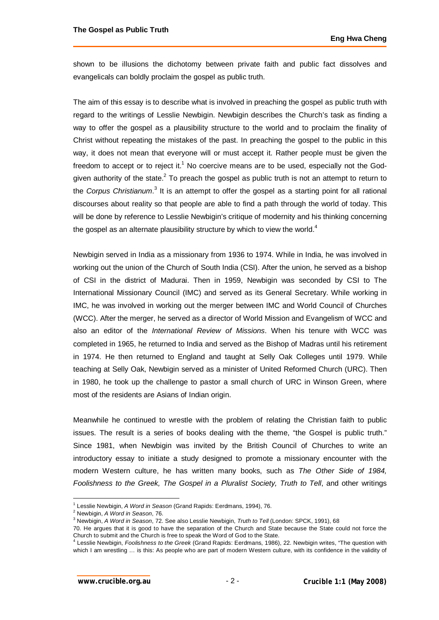shown to be illusions the dichotomy between private faith and public fact dissolves and evangelicals can boldly proclaim the gospel as public truth.

The aim of this essay is to describe what is involved in preaching the gospel as public truth with regard to the writings of Lesslie Newbigin. Newbigin describes the Church's task as finding a way to offer the gospel as a plausibility structure to the world and to proclaim the finality of Christ without repeating the mistakes of the past. In preaching the gospel to the public in this way, it does not mean that everyone will or must accept it. Rather people must be given the freedom to accept or to reject it.<sup>1</sup> No coercive means are to be used, especially not the Godgiven authority of the state.<sup>2</sup> To preach the gospel as public truth is not an attempt to return to the *Corpus Christianum*.<sup>3</sup> It is an attempt to offer the gospel as a starting point for all rational discourses about reality so that people are able to find a path through the world of today. This will be done by reference to Lesslie Newbigin's critique of modernity and his thinking concerning the gospel as an alternate plausibility structure by which to view the world.<sup>4</sup>

Newbigin served in India as a missionary from 1936 to 1974. While in India, he was involved in working out the union of the Church of South India (CSI). After the union, he served as a bishop of CSI in the district of Madurai. Then in 1959, Newbigin was seconded by CSI to The International Missionary Council (IMC) and served as its General Secretary. While working in IMC, he was involved in working out the merger between IMC and World Council of Churches (WCC). After the merger, he served as a director of World Mission and Evangelism of WCC and also an editor of the *International Review of Missions*. When his tenure with WCC was completed in 1965, he returned to India and served as the Bishop of Madras until his retirement in 1974. He then returned to England and taught at Selly Oak Colleges until 1979. While teaching at Selly Oak, Newbigin served as a minister of United Reformed Church (URC). Then in 1980, he took up the challenge to pastor a small church of URC in Winson Green, where most of the residents are Asians of Indian origin.

Meanwhile he continued to wrestle with the problem of relating the Christian faith to public issues. The result is a series of books dealing with the theme, "the Gospel is public truth." Since 1981, when Newbigin was invited by the British Council of Churches to write an introductory essay to initiate a study designed to promote a missionary encounter with the modern Western culture, he has written many books, such as *The Other Side of 1984, Foolishness to the Greek, The Gospel in a Pluralist Society, Truth to Tell, and other writings* 

<sup>1</sup> Lesslie Newbigin, *A Word in Season* (Grand Rapids: Eerdmans, 1994), 76.

<sup>2</sup> Newbigin, *A Word in Season*, 76.

<sup>3</sup> Newbigin, *A Word in Season*, 72. See also Lesslie Newbigin, *Truth to Tell* (London: SPCK, 1991), 68

<sup>70.</sup> He argues that it is good to have the separation of the Church and State because the State could not force the Church to submit and the Church is free to speak the Word of God to the State.

<sup>4</sup> Lesslie Newbigin, *Foolishness to the Greek* (Grand Rapids: Eerdmans, 1986), 22. Newbigin writes, "The question with which I am wrestling ... is this: As people who are part of modern Western culture, with its confidence in the validity of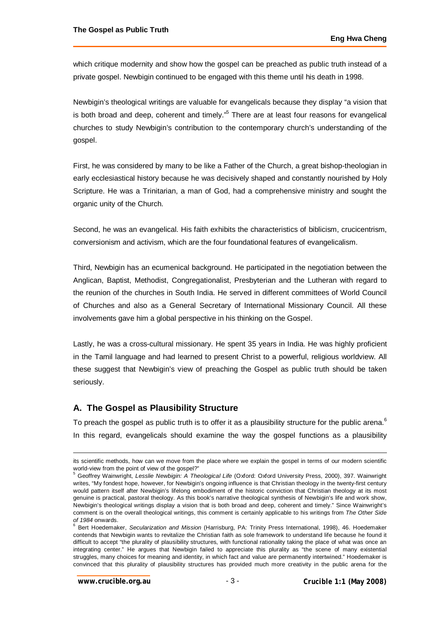which critique modernity and show how the gospel can be preached as public truth instead of a private gospel. Newbigin continued to be engaged with this theme until his death in 1998.

Newbigin's theological writings are valuable for evangelicals because they display "a vision that is both broad and deep, coherent and timely."<sup>5</sup> There are at least four reasons for evangelical churches to study Newbigin's contribution to the contemporary church's understanding of the gospel.

First, he was considered by many to be like a Father of the Church, a great bishop-theologian in early ecclesiastical history because he was decisively shaped and constantly nourished by Holy Scripture. He was a Trinitarian, a man of God, had a comprehensive ministry and sought the organic unity of the Church.

Second, he was an evangelical. His faith exhibits the characteristics of biblicism, crucicentrism, conversionism and activism, which are the four foundational features of evangelicalism.

Third, Newbigin has an ecumenical background. He participated in the negotiation between the Anglican, Baptist, Methodist, Congregationalist, Presbyterian and the Lutheran with regard to the reunion of the churches in South India. He served in different committees of World Council of Churches and also as a General Secretary of International Missionary Council. All these involvements gave him a global perspective in his thinking on the Gospel.

Lastly, he was a cross-cultural missionary. He spent 35 years in India. He was highly proficient in the Tamil language and had learned to present Christ to a powerful, religious worldview. All these suggest that Newbigin's view of preaching the Gospel as public truth should be taken seriously.

# **A. The Gospel as Plausibility Structure**

To preach the gospel as public truth is to offer it as a plausibility structure for the public arena.  $^6$ In this regard, evangelicals should examine the way the gospel functions as a plausibility

its scientific methods, how can we move from the place where we explain the gospel in terms of our modern scientific world-view from the point of view of the gospel?"<br><sup>5</sup> Coeffroy Weinwright, Looglie Nowhigip: A The

Geoffrey Wainwright, *Lesslie Newbigin: A Theological Life* (Oxford: Oxford University Press, 2000), 397. Wainwright writes, "My fondest hope, however, for Newbigin's ongoing influence is that Christian theology in the twenty-first century would pattern itself after Newbigin's lifelong embodiment of the historic conviction that Christian theology at its most genuine is practical, pastoral theology. As this book's narrative theological synthesis of Newbigin's life and work show, Newbigin's theological writings display a vision that is both broad and deep, coherent and timely." Since Wainwright's comment is on the overall theological writings, this comment is certainly applicable to his writings from *The Other Side of 1984* onwards.

<sup>6</sup> Bert Hoedemaker, *Secularization and Mission* (Harrisburg, PA: Trinity Press International, 1998), 46. Hoedemaker contends that Newbigin wants to revitalize the Christian faith as sole framework to understand life because he found it difficult to accept "the plurality of plausibility structures, with functional rationality taking the place of what was once an integrating center." He argues that Newbigin failed to appreciate this plurality as "the scene of many existential struggles, many choices for meaning and identity, in which fact and value are permanently intertwined." Hoedemaker is convinced that this plurality of plausibility structures has provided much more creativity in the public arena for the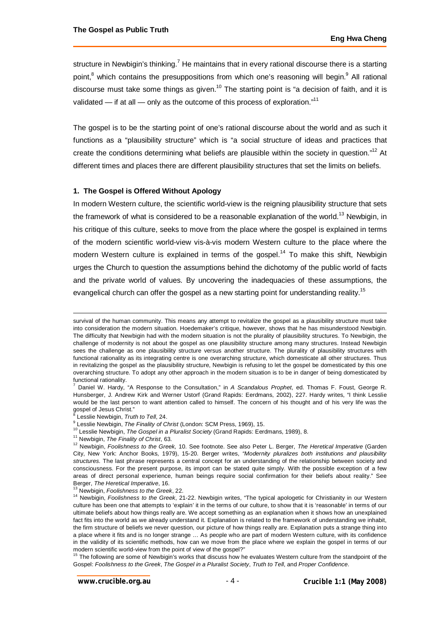structure in Newbigin's thinking.<sup>7</sup> He maintains that in every rational discourse there is a starting point,<sup>8</sup> which contains the presuppositions from which one's reasoning will begin.<sup>9</sup> All rational discourse must take some things as given.<sup>10</sup> The starting point is "a decision of faith, and it is validated — if at all — only as the outcome of this process of exploration."<sup>11</sup>

The gospel is to be the starting point of one's rational discourse about the world and as such it functions as a "plausibility structure" which is "a social structure of ideas and practices that create the conditions determining what beliefs are plausible within the society in question."<sup>12</sup> At different times and places there are different plausibility structures that set the limits on beliefs.

## **1. The Gospel is Offered Without Apology**

In modern Western culture, the scientific world-view is the reigning plausibility structure that sets the framework of what is considered to be a reasonable explanation of the world.<sup>13</sup> Newbigin, in his critique of this culture, seeks to move from the place where the gospel is explained in terms of the modern scientific world-view vis-à-vis modern Western culture to the place where the modern Western culture is explained in terms of the gospel.<sup>14</sup> To make this shift, Newbigin urges the Church to question the assumptions behind the dichotomy of the public world of facts and the private world of values. By uncovering the inadequacies of these assumptions, the evangelical church can offer the gospel as a new starting point for understanding reality.<sup>15</sup>

- <sup>10</sup> Lesslie Newbigin, *The Gospel in a Pluralist Society* (Grand Rapids: Eerdmans, 1989), 8.
- <sup>11</sup> Newbigin, *The Finality of Christ*, 63.

survival of the human community. This means any attempt to revitalize the gospel as a plausibility structure must take into consideration the modern situation. Hoedemaker's critique, however, shows that he has misunderstood Newbigin. The difficulty that Newbigin had with the modern situation is not the plurality of plausibility structures. To Newbigin, the challenge of modernity is not about the gospel as one plausibility structure among many structures. Instead Newbigin sees the challenge as one plausibility structure versus another structure. The plurality of plausibility structures with functional rationality as its integrating centre is one overarching structure, which domesticate all other structures. Thus in revitalizing the gospel as the plausibility structure, Newbigin is refusing to let the gospel be domesticated by this one overarching structure. To adopt any other approach in the modern situation is to be in danger of being domesticated by functional rationality.

<sup>7</sup> Daniel W. Hardy, "A Response to the Consultation," in *A Scandalous Prophet*, ed. Thomas F. Foust, George R. Hunsberger, J. Andrew Kirk and Werner Ustorf (Grand Rapids: Eerdmans, 2002), 227. Hardy writes, "I think Lesslie would be the last person to want attention called to himself. The concern of his thought and of his very life was the gospel of Jesus Christ."<br><sup>8</sup> Leoglie Naubigin, *Tru* 

Lesslie Newbigin, *Truth to Tell*, 24.

<sup>9</sup> Lesslie Newbigin, *The Finality of Christ* (London: SCM Press, 1969), 15.

<sup>12</sup> Newbigin, *Foolishness to the Greek,* 10. See footnote. See also Peter L. Berger, *The Heretical Imperative* (Garden City, New York: Anchor Books, 1979), 15-20. Berger writes, *"Modernity pluralizes both institutions and plausibility structures.* The last phrase represents a central concept for an understanding of the relationship between society and consciousness. For the present purpose, its import can be stated quite simply. With the possible exception of a few areas of direct personal experience, human beings require social confirmation for their beliefs about reality." See Berger, *The Heretical Imperative*, 16.

<sup>13</sup> Newbigin, *Foolishness to the Greek*, 22.

<sup>14</sup> Newbigin, *Foolishness to the Greek*, 21-22. Newbigin writes, "The typical apologetic for Christianity in our Western culture has been one that attempts to 'explain' it in the terms of our culture, to show that it is 'reasonable' in terms of our ultimate beliefs about how things really are. We accept something as an explanation when it shows how an unexplained fact fits into the world as we already understand it. Explanation is related to the framework of understanding we inhabit, the firm structure of beliefs we never question, our picture of how things really are. Explanation puts a strange thing into a place where it fits and is no longer strange … As people who are part of modern Western culture, with its confidence in the validity of its scientific methods, how can we move from the place where we explain the gospel in terms of our modern scientific world-view from the point of view of the gospel?"

 $15$  The following are some of Newbigin's works that discuss how he evaluates Western culture from the standpoint of the Gospel: *Foolishness to the Greek*, *The Gospel in a Pluralist Society*, *Truth to Tell*, and *Proper Confidence*.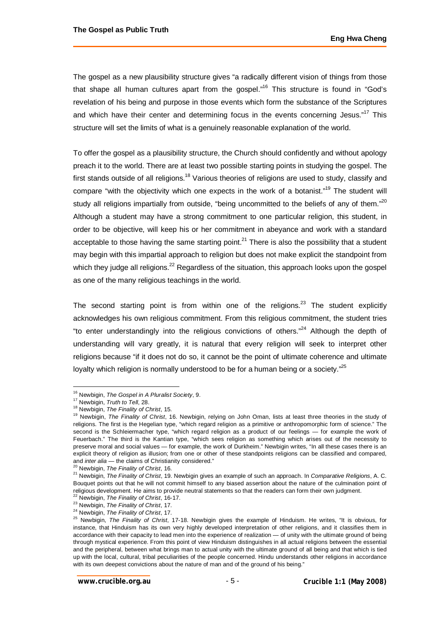The gospel as a new plausibility structure gives "a radically different vision of things from those that shape all human cultures apart from the gospel."<sup>16</sup> This structure is found in "God's revelation of his being and purpose in those events which form the substance of the Scriptures and which have their center and determining focus in the events concerning Jesus."<sup>17</sup> This structure will set the limits of what is a genuinely reasonable explanation of the world.

To offer the gospel as a plausibility structure, the Church should confidently and without apology preach it to the world. There are at least two possible starting points in studying the gospel. The first stands outside of all religions.<sup>18</sup> Various theories of religions are used to study, classify and compare "with the objectivity which one expects in the work of a botanist."<sup>19</sup> The student will study all religions impartially from outside, "being uncommitted to the beliefs of any of them."<sup>20</sup> Although a student may have a strong commitment to one particular religion, this student, in order to be objective, will keep his or her commitment in abeyance and work with a standard acceptable to those having the same starting point.<sup>21</sup> There is also the possibility that a student may begin with this impartial approach to religion but does not make explicit the standpoint from which they judge all religions.<sup>22</sup> Regardless of the situation, this approach looks upon the gospel as one of the many religious teachings in the world.

The second starting point is from within one of the religions.<sup>23</sup> The student explicitly acknowledges his own religious commitment. From this religious commitment, the student tries "to enter understandingly into the religious convictions of others."<sup>24</sup> Although the depth of understanding will vary greatly, it is natural that every religion will seek to interpret other religions because "if it does not do so, it cannot be the point of ultimate coherence and ultimate loyalty which religion is normally understood to be for a human being or a society."<sup>25</sup>

 $\overline{a}$ <sup>16</sup> Newbigin, *The Gospel in A Pluralist Society*, 9.

<sup>17</sup> Newbigin, *Truth to Tell*, 28.

<sup>18</sup> Newbigin, *The Finality of Christ*, 15.

<sup>19</sup> Newbigin, *The Finality of Christ*, 16. Newbigin, relying on John Oman, lists at least three theories in the study of religions. The first is the Hegelian type, "which regard religion as a primitive or anthropomorphic form of science." The second is the Schleiermacher type, "which regard religion as a product of our feelings — for example the work of Feuerbach." The third is the Kantian type, "which sees religion as something which arises out of the necessity to preserve moral and social values — for example, the work of Durkheim." Newbigin writes, "In all these cases there is an explicit theory of religion as illusion; from one or other of these standpoints religions can be classified and compared, and *inter alia* — the claims of Christianity considered."

<sup>20</sup> Newbigin, *The Finality of Christ*, 16.

<sup>21</sup> Newbigin, *The Finality of Christ*, 19. Newbigin gives an example of such an approach. In *Comparative Religions*, A. C. Bouquet points out that he will not commit himself to any biased assertion about the nature of the culmination point of religious development. He aims to provide neutral statements so that the readers can form their own judgment.

<sup>22</sup> Newbigin, *The Finality of Christ*, 16-17. <sup>23</sup> Newbigin, *The Finality of Christ*, 17.

<sup>24</sup> Newbigin, *The Finality of Christ*, 17.

<sup>25</sup> Newbigin, *The Finality of Christ*, 17-18. Newbigin gives the example of Hinduism. He writes, "It is obvious, for instance, that Hinduism has its own very highly developed interpretation of other religions, and it classifies them in accordance with their capacity to lead men into the experience of realization — of unity with the ultimate ground of being through mystical experience. From this point of view Hinduism distinguishes in all actual religions between the essential and the peripheral, between what brings man to actual unity with the ultimate ground of all being and that which is tied up with the local, cultural, tribal peculiarities of the people concerned. Hindu understands other religions in accordance with its own deepest convictions about the nature of man and of the ground of his being."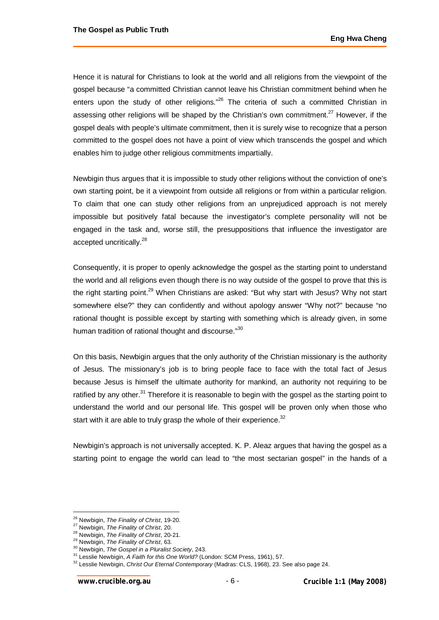Hence it is natural for Christians to look at the world and all religions from the viewpoint of the gospel because "a committed Christian cannot leave his Christian commitment behind when he enters upon the study of other religions."<sup>26</sup> The criteria of such a committed Christian in assessing other religions will be shaped by the Christian's own commitment.<sup>27</sup> However, if the gospel deals with people's ultimate commitment, then it is surely wise to recognize that a person committed to the gospel does not have a point of view which transcends the gospel and which enables him to judge other religious commitments impartially.

Newbigin thus argues that it is impossible to study other religions without the conviction of one's own starting point, be it a viewpoint from outside all religions or from within a particular religion. To claim that one can study other religions from an unprejudiced approach is not merely impossible but positively fatal because the investigator's complete personality will not be engaged in the task and, worse still, the presuppositions that influence the investigator are accepted uncritically.<sup>28</sup>

Consequently, it is proper to openly acknowledge the gospel as the starting point to understand the world and all religions even though there is no way outside of the gospel to prove that this is the right starting point.<sup>29</sup> When Christians are asked: "But why start with Jesus? Why not start somewhere else?" they can confidently and without apology answer "Why not?" because "no rational thought is possible except by starting with something which is already given, in some human tradition of rational thought and discourse."<sup>30</sup>

On this basis, Newbigin argues that the only authority of the Christian missionary is the authority of Jesus. The missionary's job is to bring people face to face with the total fact of Jesus because Jesus is himself the ultimate authority for mankind, an authority not requiring to be ratified by any other.<sup>31</sup> Therefore it is reasonable to begin with the gospel as the starting point to understand the world and our personal life. This gospel will be proven only when those who start with it are able to truly grasp the whole of their experience. $32$ 

Newbigin's approach is not universally accepted. K. P. Aleaz argues that having the gospel as a starting point to engage the world can lead to "the most sectarian gospel" in the hands of a

 $\overline{a}$ <sup>26</sup> Newbigin, *The Finality of Christ*, 19-20.

<sup>27</sup> Newbigin, *The Finality of Christ*, 20.

<sup>28</sup> Newbigin, *The Finality of Christ*, 20-21.

<sup>29</sup> Newbigin, *The Finality of Christ*, 63.

<sup>30</sup> Newbigin, *The Gospel in a Pluralist Society*, 243.

<sup>31</sup> Lesslie Newbigin, *A Faith for this One World?* (London: SCM Press, 1961), 57.

<sup>32</sup> Lesslie Newbigin, *Christ Our Eternal Contemporary* (Madras: CLS, 1968), 23. See also page 24.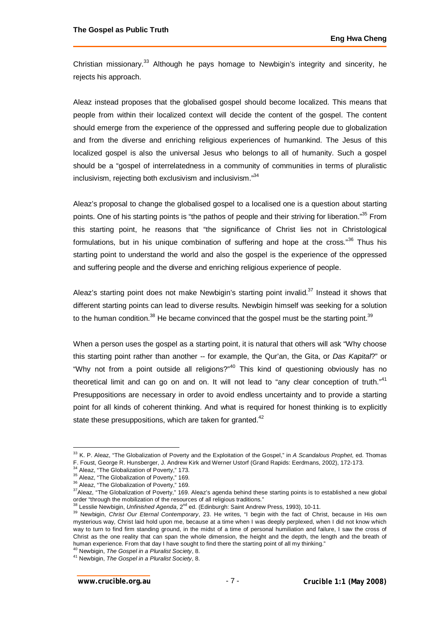Christian missionary.<sup>33</sup> Although he pays homage to Newbigin's integrity and sincerity, he rejects his approach.

Aleaz instead proposes that the globalised gospel should become localized. This means that people from within their localized context will decide the content of the gospel. The content should emerge from the experience of the oppressed and suffering people due to globalization and from the diverse and enriching religious experiences of humankind. The Jesus of this localized gospel is also the universal Jesus who belongs to all of humanity. Such a gospel should be a "gospel of interrelatedness in a community of communities in terms of pluralistic inclusivism, rejecting both exclusivism and inclusivism."<sup>34</sup>

Aleaz's proposal to change the globalised gospel to a localised one is a question about starting points. One of his starting points is "the pathos of people and their striving for liberation."<sup>35</sup> From this starting point, he reasons that "the significance of Christ lies not in Christological formulations, but in his unique combination of suffering and hope at the cross.<sup>36</sup> Thus his starting point to understand the world and also the gospel is the experience of the oppressed and suffering people and the diverse and enriching religious experience of people.

Aleaz's starting point does not make Newbigin's starting point invalid.<sup>37</sup> Instead it shows that different starting points can lead to diverse results. Newbigin himself was seeking for a solution to the human condition.<sup>38</sup> He became convinced that the gospel must be the starting point.<sup>39</sup>

When a person uses the gospel as a starting point, it is natural that others will ask "Why choose this starting point rather than another -- for example, the Qur'an, the Gita, or *Das Kapital*?" or "Why not from a point outside all religions?"<sup>40</sup> This kind of questioning obviously has no theoretical limit and can go on and on. It will not lead to "any clear conception of truth." $41$ Presuppositions are necessary in order to avoid endless uncertainty and to provide a starting point for all kinds of coherent thinking. And what is required for honest thinking is to explicitly state these presuppositions, which are taken for granted.<sup>42</sup>

<sup>40</sup> Newbigin, *The Gospel in a Pluralist Society*, 8.

 $\overline{a}$ <sup>33</sup> K. P. Aleaz, "The Globalization of Poverty and the Exploitation of the Gospel," in *A Scandalous Prophet*, ed. Thomas F. Foust, George R. Hunsberger, J. Andrew Kirk and Werner Ustorf (Grand Rapids: Eerdmans, 2002), 172-173.

<sup>34</sup> Aleaz, "The Globalization of Poverty," 173.

<sup>&</sup>lt;sup>35</sup> Aleaz, "The Globalization of Poverty," 169.

<sup>&</sup>lt;sup>36</sup> Aleaz, "The Globalization of Poverty," 169.

<sup>&</sup>lt;sup>37</sup>Aleaz, "The Globalization of Poverty," 169. Aleaz's agenda behind these starting points is to established a new global order "through the mobilization of the resources of all religious traditions."

<sup>&</sup>lt;sup>38</sup> Lesslie Newbigin, *Unfinished Agenda*, 2<sup>nd</sup> ed. (Edinburgh: Saint Andrew Press, 1993), 10-11.

<sup>39</sup> Newbigin, *Christ Our Eternal Contemporary*, 23. He writes, "I begin with the fact of Christ, because in His own mysterious way, Christ laid hold upon me, because at a time when I was deeply perplexed, when I did not know which way to turn to find firm standing ground, in the midst of a time of personal humiliation and failure, I saw the cross of Christ as the one reality that can span the whole dimension, the height and the depth, the length and the breath of human experience. From that day I have sought to find there the starting point of all my thinking."

<sup>41</sup> Newbigin, *The Gospel in a Pluralist Society*, 8.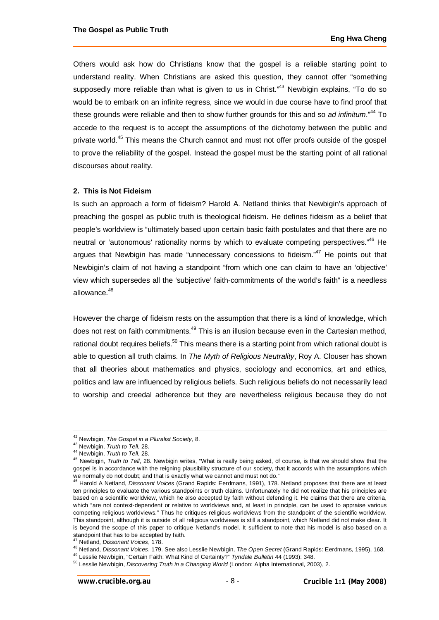Others would ask how do Christians know that the gospel is a reliable starting point to understand reality. When Christians are asked this question, they cannot offer "something supposedly more reliable than what is given to us in Christ. $143$  Newbigin explains, "To do so would be to embark on an infinite regress, since we would in due course have to find proof that these grounds were reliable and then to show further grounds for this and so *ad infinitum*."<sup>44</sup> To accede to the request is to accept the assumptions of the dichotomy between the public and private world.<sup>45</sup> This means the Church cannot and must not offer proofs outside of the gospel to prove the reliability of the gospel. Instead the gospel must be the starting point of all rational discourses about reality.

#### **2. This is Not Fideism**

Is such an approach a form of fideism? Harold A. Netland thinks that Newbigin's approach of preaching the gospel as public truth is theological fideism. He defines fideism as a belief that people's worldview is "ultimately based upon certain basic faith postulates and that there are no neutral or 'autonomous' rationality norms by which to evaluate competing perspectives."<sup>46</sup> He argues that Newbigin has made "unnecessary concessions to fideism."<sup>47</sup> He points out that Newbigin's claim of not having a standpoint "from which one can claim to have an 'objective' view which supersedes all the 'subjective' faith-commitments of the world's faith" is a needless allowance.<sup>48</sup>

However the charge of fideism rests on the assumption that there is a kind of knowledge, which does not rest on faith commitments.<sup>49</sup> This is an illusion because even in the Cartesian method, rational doubt requires beliefs.<sup>50</sup> This means there is a starting point from which rational doubt is able to question all truth claims. In *The Myth of Religious Neutrality*, Roy A. Clouser has shown that all theories about mathematics and physics, sociology and economics, art and ethics, politics and law are influenced by religious beliefs. Such religious beliefs do not necessarily lead to worship and creedal adherence but they are nevertheless religious because they do not

 $\overline{a}$ <sup>42</sup> Newbigin, *The Gospel in a Pluralist Society*, 8.

<sup>43</sup> Newbigin, *Truth to Tell*, 28.

<sup>44</sup> Newbigin, *Truth to Tell*, 28.

<sup>45</sup> Newbigin, *Truth to Tell*, 28. Newbigin writes, "What is really being asked, of course, is that we should show that the gospel is in accordance with the reigning plausibility structure of our society, that it accords with the assumptions which we normally do not doubt; and that is exactly what we cannot and must not do."

<sup>46</sup> Harold A Netland, *Dissonant Voices* (Grand Rapids: Eerdmans, 1991), 178. Netland proposes that there are at least ten principles to evaluate the various standpoints or truth claims. Unfortunately he did not realize that his principles are based on a scientific worldview, which he also accepted by faith without defending it. He claims that there are criteria, which "are not context-dependent or relative to worldviews and, at least in principle, can be used to appraise various competing religious worldviews." Thus he critiques religious worldviews from the standpoint of the scientific worldview. This standpoint, although it is outside of all religious worldviews is still a standpoint, which Netland did not make clear. It is beyond the scope of this paper to critique Netland's model. It sufficient to note that his model is also based on a standpoint that has to be accepted by faith.

<sup>47</sup> Netland, *Dissonant Voices*, 178.

<sup>48</sup> Netland, *Dissonant Voices*, 179. See also Lesslie Newbigin, *The Open Secret* (Grand Rapids: Eerdmans, 1995), 168.

<sup>49</sup> Lesslie Newbigin, "Certain Faith: What Kind of Certainty?" *Tyndale Bulletin* 44 (1993): 348.

<sup>50</sup> Lesslie Newbigin, *Discovering Truth in a Changing World* (London: Alpha International, 2003), 2.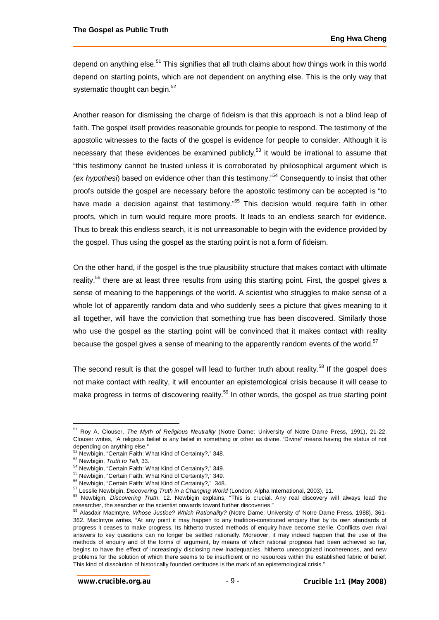depend on anything else.<sup>51</sup> This signifies that all truth claims about how things work in this world depend on starting points, which are not dependent on anything else. This is the only way that systematic thought can begin.<sup>52</sup>

Another reason for dismissing the charge of fideism is that this approach is not a blind leap of faith. The gospel itself provides reasonable grounds for people to respond. The testimony of the apostolic witnesses to the facts of the gospel is evidence for people to consider. Although it is necessary that these evidences be examined publicly,<sup>53</sup> it would be irrational to assume that "this testimony cannot be trusted unless it is corroborated by philosophical argument which is (ex hypothesi) based on evidence other than this testimony.<sup>54</sup> Consequently to insist that other proofs outside the gospel are necessary before the apostolic testimony can be accepted is "to have made a decision against that testimony."<sup>55</sup> This decision would require faith in other proofs, which in turn would require more proofs. It leads to an endless search for evidence. Thus to break this endless search, it is not unreasonable to begin with the evidence provided by the gospel. Thus using the gospel as the starting point is not a form of fideism.

On the other hand, if the gospel is the true plausibility structure that makes contact with ultimate reality,<sup>56</sup> there are at least three results from using this starting point. First, the gospel gives a sense of meaning to the happenings of the world. A scientist who struggles to make sense of a whole lot of apparently random data and who suddenly sees a picture that gives meaning to it all together, will have the conviction that something true has been discovered. Similarly those who use the gospel as the starting point will be convinced that it makes contact with reality because the gospel gives a sense of meaning to the apparently random events of the world.<sup>57</sup>

The second result is that the gospel will lead to further truth about reality.<sup>58</sup> If the gospel does not make contact with reality, it will encounter an epistemological crisis because it will cease to make progress in terms of discovering reality.<sup>59</sup> In other words, the gospel as true starting point

<sup>51</sup> Roy A. Clouser, *The Myth of Religious Neutrality* (Notre Dame: University of Notre Dame Press, 1991), 21-22. Clouser writes, "A religious belief is any belief in something or other as divine. 'Divine' means having the status of not depending on anything else."

<sup>52</sup> Newbigin, "Certain Faith: What Kind of Certainty?," 348.

<sup>53</sup> Newbigin, *Truth to Tell*, 33.

<sup>54</sup> Newbigin, "Certain Faith: What Kind of Certainty?," 349.

<sup>&</sup>lt;sup>55</sup> Newbigin, "Certain Faith: What Kind of Certainty?," 349.

<sup>&</sup>lt;sup>56</sup> Newbigin, "Certain Faith: What Kind of Certainty?," 348.

<sup>57</sup> Lesslie Newbigin, *Discovering Truth in a Changing World* (London: Alpha International, 2003), 11.

<sup>58</sup> Newbigin, *Discovering Truth*, 12. Newbigin explains, "This is crucial. Any real discovery will always lead the researcher, the searcher or the scientist onwards toward further discoveries."

<sup>59</sup> Alasdair MacIntyre, *Whose Justice? Which Rationality?* (Notre Dame: University of Notre Dame Press, 1988), 361- 362. MacIntyre writes, "At any point it may happen to any tradition-constituted enquiry that by its own standards of progress it ceases to make progress. Its hitherto trusted methods of enquiry have become sterile. Conflicts over rival answers to key questions can no longer be settled rationally. Moreover, it may indeed happen that the use of the methods of enquiry and of the forms of argument, by means of which rational progress had been achieved so far, begins to have the effect of increasingly disclosing new inadequacies, hitherto unrecognized incoherences, and new problems for the solution of which there seems to be insufficient or no resources within the established fabric of belief. This kind of dissolution of historically founded certitudes is the mark of an epistemological crisis."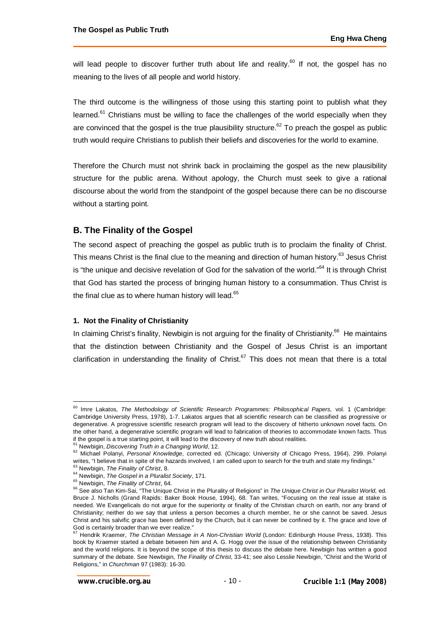will lead people to discover further truth about life and reality.<sup>60</sup> If not, the gospel has no meaning to the lives of all people and world history.

The third outcome is the willingness of those using this starting point to publish what they learned.<sup>61</sup> Christians must be willing to face the challenges of the world especially when they are convinced that the gospel is the true plausibility structure.<sup>62</sup> To preach the gospel as public truth would require Christians to publish their beliefs and discoveries for the world to examine.

Therefore the Church must not shrink back in proclaiming the gospel as the new plausibility structure for the public arena. Without apology, the Church must seek to give a rational discourse about the world from the standpoint of the gospel because there can be no discourse without a starting point.

# **B. The Finality of the Gospel**

The second aspect of preaching the gospel as public truth is to proclaim the finality of Christ. This means Christ is the final clue to the meaning and direction of human history.<sup>63</sup> Jesus Christ is "the unique and decisive revelation of God for the salvation of the world."<sup>64</sup> It is through Christ that God has started the process of bringing human history to a consummation. Thus Christ is the final clue as to where human history will lead.<sup>65</sup>

## **1. Not the Finality of Christianity**

In claiming Christ's finality, Newbigin is not arguing for the finality of Christianity.<sup>66</sup> He maintains that the distinction between Christianity and the Gospel of Jesus Christ is an important clarification in understanding the finality of Christ.<sup>67</sup> This does not mean that there is a total

<sup>&</sup>lt;sup>60</sup> Imre Lakatos, *The Methodology of Scientific Research Programmes: Philosophical Papers, vol. 1 (Cambridge:* Cambridge University Press, 1978), 1-7. Lakatos argues that all scientific research can be classified as progressive or degenerative. A progressive scientific research program will lead to the discovery of hitherto unknown novel facts. On the other hand, a degenerative scientific program will lead to fabrication of theories to accommodate known facts. Thus if the gospel is a true starting point, it will lead to the discovery of new truth about realities.

<sup>&</sup>lt;sup>1</sup> Newbigin, *Discovering Truth in a Changing World*, 12.

<sup>62</sup> Michael Polanyi, *Personal Knowledge*, corrected ed. (Chicago; University of Chicago Press, 1964), 299. Polanyi writes, "I believe that in spite of the hazards involved, I am called upon to search for the truth and state my findings." <sup>63</sup> Newbigin, *The Finality of Christ*, 8.

<sup>64</sup> Newbigin, *The Gospel in a Pluralist Society*, 171.

<sup>65</sup> Newbigin, *The Finality of Christ*, 64.

<sup>&</sup>lt;sup>66</sup> See also Tan Kim-Sai, "The Unique Christ in the Plurality of Religions" in *The Unique Christ in Our Pluralist World*, ed. Bruce J. Nicholls (Grand Rapids: Baker Book House, 1994), 68. Tan writes, "Focusing on the real issue at stake is needed. We Evangelicals do not argue for the superiority or finality of the Christian church on earth, nor any brand of Christianity; neither do we say that unless a person becomes a church member, he or she cannot be saved. Jesus Christ and his salvific grace has been defined by the Church, but it can never be confined by it. The grace and love of God is certainly broader than we ever realize."

<sup>67</sup> Hendrik Kraemer, *The Christian Message in A Non-Christian World* (London: Edinburgh House Press, 1938). This book by Kraemer started a debate between him and A. G. Hogg over the issue of the relationship between Christianity and the world religions. It is beyond the scope of this thesis to discuss the debate here. Newbigin has written a good summary of the debate. See Newbigin, *The Finality of Christ*, 33-41; see also Lesslie Newbigin, "Christ and the World of Religions," in *Churchman* 97 (1983): 16-30.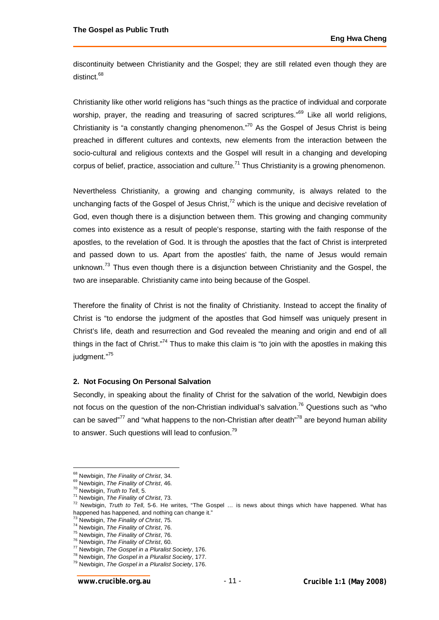discontinuity between Christianity and the Gospel; they are still related even though they are distinct.<sup>68</sup>

Christianity like other world religions has "such things as the practice of individual and corporate worship, prayer, the reading and treasuring of sacred scriptures."<sup>69</sup> Like all world religions, Christianity is "a constantly changing phenomenon."<sup>70</sup> As the Gospel of Jesus Christ is being preached in different cultures and contexts, new elements from the interaction between the socio-cultural and religious contexts and the Gospel will result in a changing and developing corpus of belief, practice, association and culture.<sup>71</sup> Thus Christianity is a growing phenomenon.

Nevertheless Christianity, a growing and changing community, is always related to the unchanging facts of the Gospel of Jesus Christ, $<sup>72</sup>$  which is the unique and decisive revelation of</sup> God, even though there is a disjunction between them. This growing and changing community comes into existence as a result of people's response, starting with the faith response of the apostles, to the revelation of God. It is through the apostles that the fact of Christ is interpreted and passed down to us. Apart from the apostles' faith, the name of Jesus would remain unknown.<sup>73</sup> Thus even though there is a disjunction between Christianity and the Gospel, the two are inseparable. Christianity came into being because of the Gospel.

Therefore the finality of Christ is not the finality of Christianity. Instead to accept the finality of Christ is "to endorse the judgment of the apostles that God himself was uniquely present in Christ's life, death and resurrection and God revealed the meaning and origin and end of all things in the fact of Christ."<sup>74</sup> Thus to make this claim is "to join with the apostles in making this judament."<sup>75</sup>

### **2. Not Focusing On Personal Salvation**

Secondly, in speaking about the finality of Christ for the salvation of the world, Newbigin does not focus on the question of the non-Christian individual's salvation.<sup>76</sup> Questions such as "who can be saved"<sup>77</sup> and "what happens to the non-Christian after death"<sup>78</sup> are beyond human ability to answer. Such questions will lead to confusion.<sup>79</sup>

<sup>68</sup> Newbigin, *The Finality of Christ*, 34.

<sup>69</sup> Newbigin, *The Finality of Christ*, 46.

<sup>70</sup> Newbigin, *Truth to Tell*, 5.

<sup>71</sup> Newbigin, *The Finality of Christ*, 73.

<sup>72</sup> Newbigin, *Truth to Tell*, 5-6. He writes, "The Gospel … is news about things which have happened. What has happened has happened, and nothing can change it."

<sup>73</sup> Newbigin, *The Finality of Christ*, 75.

<sup>74</sup> Newbigin, *The Finality of Christ*, 76.

<sup>75</sup> Newbigin, *The Finality of Christ*, 76.

<sup>76</sup> Newbigin, *The Finality of Christ*, 60.

<sup>77</sup> Newbigin, *The Gospel in a Pluralist Society*, 176.

<sup>78</sup> Newbigin, *The Gospel in a Pluralist Society*, 177.

<sup>79</sup> Newbigin, *The Gospel in a Pluralist Society*, 176.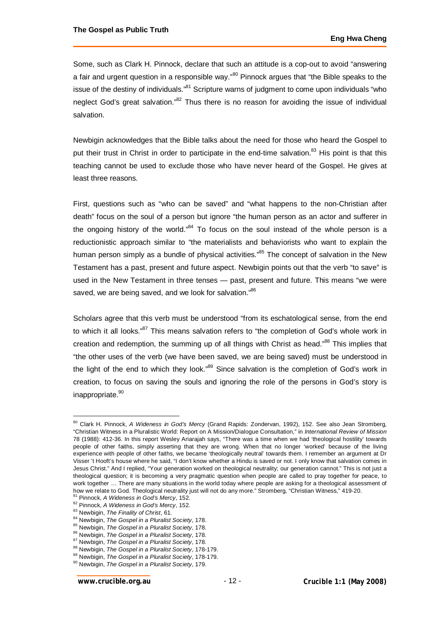Some, such as Clark H. Pinnock, declare that such an attitude is a cop-out to avoid "answering a fair and urgent question in a responsible way."<sup>80</sup> Pinnock argues that "the Bible speaks to the issue of the destiny of individuals. $^{81}$  Scripture warns of judgment to come upon individuals "who neglect God's great salvation."<sup>82</sup> Thus there is no reason for avoiding the issue of individual salvation.

Newbigin acknowledges that the Bible talks about the need for those who heard the Gospel to put their trust in Christ in order to participate in the end-time salvation.<sup>83</sup> His point is that this teaching cannot be used to exclude those who have never heard of the Gospel. He gives at least three reasons.

First, questions such as "who can be saved" and "what happens to the non-Christian after death" focus on the soul of a person but ignore "the human person as an actor and sufferer in the ongoing history of the world." $84$  To focus on the soul instead of the whole person is a reductionistic approach similar to "the materialists and behaviorists who want to explain the human person simply as a bundle of physical activities."<sup>85</sup> The concept of salvation in the New Testament has a past, present and future aspect. Newbigin points out that the verb "to save" is used in the New Testament in three tenses — past, present and future. This means "we were saved, we are being saved, and we look for salvation."86

Scholars agree that this verb must be understood "from its eschatological sense, from the end to which it all looks."<sup>87</sup> This means salvation refers to "the completion of God's whole work in creation and redemption, the summing up of all things with Christ as head."<sup>88</sup> This implies that "the other uses of the verb (we have been saved, we are being saved) must be understood in the light of the end to which they look."<sup>89</sup> Since salvation is the completion of God's work in creation, to focus on saving the souls and ignoring the role of the persons in God's story is inappropriate.<sup>90</sup>

<sup>80</sup> Clark H. Pinnock, *A Wideness in God's Mercy* (Grand Rapids: Zondervan, 1992), 152. See also Jean Stromberg, "Christian Witness in a Pluralistic World: Report on A Mission/Dialogue Consultation," in *International Review of Mission* 78 (1988): 412-36. In this report Wesley Ariarajah says, "There was a time when we had 'theological hostility' towards people of other faiths, simply asserting that they are wrong. When that no longer 'worked' because of the living experience with people of other faiths, we became 'theologically neutral' towards them. I remember an argument at Dr Visser 't Hooft's house where he said, "I don't know whether a Hindu is saved or not. I only know that salvation comes in Jesus Christ." And I replied, "Your generation worked on theological neutrality; our generation cannot." This is not just a theological question; it is becoming a very pragmatic question when people are called to pray together for peace, to work together … There are many situations in the world today where people are asking for a theological assessment of how we relate to God. Theological neutrality just will not do any more." Stromberg, "Christian Witness," 419-20.

<sup>81</sup> Pinnock, *A Wideness in God's Mercy*, 152. <sup>82</sup> Pinnock, *A Wideness in God's Mercy*, 152.

<sup>83</sup> Newbigin, *The Finality of Christ*, 61.

<sup>84</sup> Newbigin, *The Gospel in a Pluralist Society*, 178.

<sup>85</sup> Newbigin, *The Gospel in a Pluralist Society*, 178.

<sup>86</sup> Newbigin, *The Gospel in a Pluralist Society*, 178.

<sup>87</sup> Newbigin, *The Gospel in a Pluralist Society*, 178.

<sup>88</sup> Newbigin, *The Gospel in a Pluralist Society*, 178-179.

<sup>89</sup> Newbigin, *The Gospel in a Pluralist Society*, 178-179.

<sup>90</sup> Newbigin, *The Gospel in a Pluralist Society*, 179.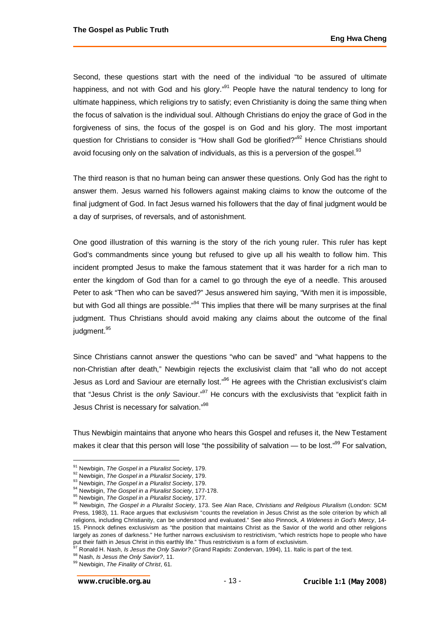Second, these questions start with the need of the individual "to be assured of ultimate happiness, and not with God and his glory. $^{991}$  People have the natural tendency to long for ultimate happiness, which religions try to satisfy; even Christianity is doing the same thing when the focus of salvation is the individual soul. Although Christians do enjoy the grace of God in the forgiveness of sins, the focus of the gospel is on God and his glory. The most important question for Christians to consider is "How shall God be glorified?"<sup>92</sup> Hence Christians should avoid focusing only on the salvation of individuals, as this is a perversion of the gospel. $93$ 

The third reason is that no human being can answer these questions. Only God has the right to answer them. Jesus warned his followers against making claims to know the outcome of the final judgment of God. In fact Jesus warned his followers that the day of final judgment would be a day of surprises, of reversals, and of astonishment.

One good illustration of this warning is the story of the rich young ruler. This ruler has kept God's commandments since young but refused to give up all his wealth to follow him. This incident prompted Jesus to make the famous statement that it was harder for a rich man to enter the kingdom of God than for a camel to go through the eye of a needle. This aroused Peter to ask "Then who can be saved?" Jesus answered him saying, "With men it is impossible, but with God all things are possible."<sup>94</sup> This implies that there will be many surprises at the final judgment. Thus Christians should avoid making any claims about the outcome of the final judgment.<sup>95</sup>

Since Christians cannot answer the questions "who can be saved" and "what happens to the non-Christian after death," Newbigin rejects the exclusivist claim that "all who do not accept Jesus as Lord and Saviour are eternally lost.<sup>"96</sup> He agrees with the Christian exclusivist's claim that "Jesus Christ is the *only* Saviour."<sup>97</sup> He concurs with the exclusivists that "explicit faith in Jesus Christ is necessary for salvation."<sup>98</sup>

Thus Newbigin maintains that anyone who hears this Gospel and refuses it, the New Testament makes it clear that this person will lose "the possibility of salvation — to be lost." $99$  For salvation,

<sup>97</sup> Ronald H. Nash, *Is Jesus the Only Savior?* (Grand Rapids: Zondervan, 1994), 11. Italic is part of the text.

<sup>91</sup> Newbigin, *The Gospel in a Pluralist Society*, 179.

<sup>92</sup> Newbigin, *The Gospel in a Pluralist Society*, 179.

<sup>93</sup> Newbigin, *The Gospel in a Pluralist Society*, 179.

<sup>94</sup> Newbigin, *The Gospel in a Pluralist Society*, 177-178.

<sup>95</sup> Newbigin, *The Gospel in a Pluralist Society*, 177.

<sup>96</sup> Newbigin, *The Gospel in a Pluralist Society*, 173. See Alan Race, *Christians and Religious Pluralism* (London: SCM Press, 1983), 11. Race argues that exclusivism "counts the revelation in Jesus Christ as the sole criterion by which all religions, including Christianity, can be understood and evaluated." See also Pinnock, *A Wideness in God's Mercy*, 14- 15. Pinnock defines exclusivism as "the position that maintains Christ as the Savior of the world and other religions largely as zones of darkness." He further narrows exclusivism to restrictivism, "which restricts hope to people who have put their faith in Jesus Christ in this earthly life." Thus restrictivism is a form of exclusivism.

<sup>98</sup> Nash, *Is Jesus the Only Savior?*, 11.

<sup>99</sup> Newbigin, *The Finality of Christ*, 61.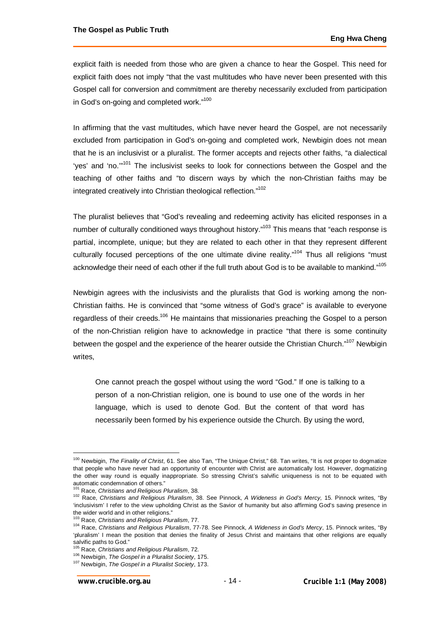explicit faith is needed from those who are given a chance to hear the Gospel. This need for explicit faith does not imply "that the vast multitudes who have never been presented with this Gospel call for conversion and commitment are thereby necessarily excluded from participation in God's on-going and completed work."<sup>100</sup>

In affirming that the vast multitudes, which have never heard the Gospel, are not necessarily excluded from participation in God's on-going and completed work, Newbigin does not mean that he is an inclusivist or a pluralist. The former accepts and rejects other faiths, "a dialectical 'yes' and 'no.'"<sup>101</sup> The inclusivist seeks to look for connections between the Gospel and the teaching of other faiths and "to discern ways by which the non-Christian faiths may be integrated creatively into Christian theological reflection."<sup>102</sup>

The pluralist believes that "God's revealing and redeeming activity has elicited responses in a number of culturally conditioned ways throughout history."<sup>103</sup> This means that "each response is partial, incomplete, unique; but they are related to each other in that they represent different culturally focused perceptions of the one ultimate divine reality."<sup>104</sup> Thus all religions "must acknowledge their need of each other if the full truth about God is to be available to mankind."<sup>105</sup>

Newbigin agrees with the inclusivists and the pluralists that God is working among the non-Christian faiths. He is convinced that "some witness of God's grace" is available to everyone regardless of their creeds.<sup>106</sup> He maintains that missionaries preaching the Gospel to a person of the non-Christian religion have to acknowledge in practice "that there is some continuity between the gospel and the experience of the hearer outside the Christian Church."<sup>107</sup> Newbigin writes,

One cannot preach the gospel without using the word "God." If one is talking to a person of a non-Christian religion, one is bound to use one of the words in her language, which is used to denote God. But the content of that word has necessarily been formed by his experience outside the Church. By using the word,

<sup>100</sup> Newbigin, *The Finality of Christ*, 61. See also Tan, "The Unique Christ," 68. Tan writes, "It is not proper to dogmatize that people who have never had an opportunity of encounter with Christ are automatically lost. However, dogmatizing the other way round is equally inappropriate. So stressing Christ's salvific uniqueness is not to be equated with automatic condemnation of others."

<sup>101</sup> Race, *Christians and Religious Pluralism*, 38.

<sup>102</sup> Race, *Christians and Religious Pluralism*, 38. See Pinnock, *A Wideness in God's Mercy,* 15. Pinnock writes, "By 'inclusivism' I refer to the view upholding Christ as the Savior of humanity but also affirming God's saving presence in the wider world and in other religions."

<sup>103</sup> Race, *Christians and Religious Pluralism*, 77.

<sup>104</sup> Race, *Christians and Religious Pluralism*, 77-78. See Pinnock, *A Wideness in God's Mercy*, 15. Pinnock writes, "By 'pluralism' I mean the position that denies the finality of Jesus Christ and maintains that other religions are equally salvific paths to God."

<sup>105</sup> Race, *Christians and Religious Pluralism*, 72.

<sup>106</sup> Newbigin, *The Gospel in a Pluralist Society*, 175.

<sup>107</sup> Newbigin, *The Gospel in a Pluralist Society*, 173.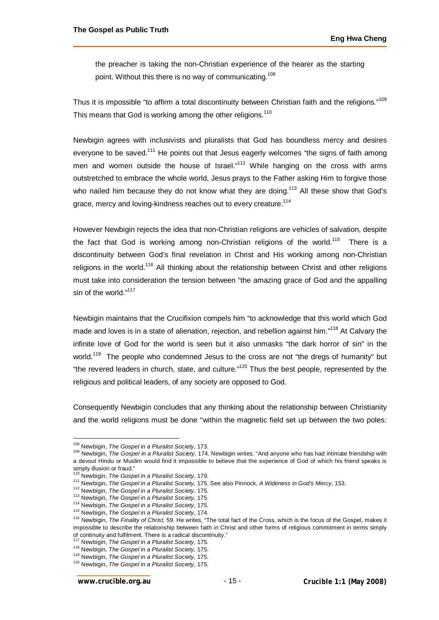the preacher is taking the non-Christian experience of the hearer as the starting point. Without this there is no way of communicating.<sup>108</sup>

Thus it is impossible "to affirm a total discontinuity between Christian faith and the religions."<sup>109</sup> This means that God is working among the other religions.<sup>110</sup>

Newbigin agrees with inclusivists and pluralists that God has boundless mercy and desires everyone to be saved.<sup>111</sup> He points out that Jesus eagerly welcomes "the signs of faith among men and women outside the house of Israel."<sup>112</sup> While hanging on the cross with arms outstretched to embrace the whole world, Jesus prays to the Father asking Him to forgive those who nailed him because they do not know what they are doing.<sup>113</sup> All these show that God's grace, mercy and loving-kindness reaches out to every creature.<sup>114</sup>

However Newbigin rejects the idea that non-Christian religions are vehicles of salvation, despite the fact that God is working among non-Christian religions of the world.<sup>115</sup> There is a discontinuity between God's final revelation in Christ and His working among non-Christian religions in the world.<sup>116</sup> All thinking about the relationship between Christ and other religions must take into consideration the tension between "the amazing grace of God and the appalling sin of the world."<sup>117</sup>

Newbigin maintains that the Crucifixion compels him "to acknowledge that this world which God made and loves is in a state of alienation, rejection, and rebellion against him."<sup>118</sup> At Calvary the infinite love of God for the world is seen but it also unmasks "the dark horror of sin" in the world.<sup>119</sup> The people who condemned Jesus to the cross are not "the dregs of humanity" but "the revered leaders in church, state, and culture."<sup>120</sup> Thus the best people, represented by the religious and political leaders, of any society are opposed to God.

Consequently Newbigin concludes that any thinking about the relationship between Christianity and the world religions must be done "within the magnetic field set up between the two poles:

<sup>108</sup> Newbigin, *The Gospel in a Pluralist Society*, 173.

<sup>109</sup> Newbigin, *The Gospel in a Pluralist Society*, 174. Newbigin writes, "And anyone who has had intimate friendship with a devout Hindu or Muslim would find it impossible to believe that the experience of God of which his friend speaks is simply illusion or fraud."

<sup>110</sup> Newbigin, *The Gospel in a Pluralist Society*, 179.

<sup>111</sup> Newbigin, *The Gospel in a Pluralist Society*, 175. See also Pinnock, *A Wideness in God's Mercy*, 153.

<sup>112</sup> Newbigin, *The Gospel in a Pluralist Society*, 175.

<sup>113</sup> Newbigin, *The Gospel in a Pluralist Society*, 175.

<sup>114</sup> Newbigin, *The Gospel in a Pluralist Society*, 175.

<sup>115</sup> Newbigin, *The Gospel in a Pluralist Society*, 174.

<sup>116</sup> Newbigin, *The Finality of Christ*, 59. He writes, "The total fact of the Cross, which is the focus of the Gospel, makes it impossible to describe the relationship between faith in Christ and other forms of religious commitment in terms simply of continuity and fulfilment. There is a radical discontinuity."

<sup>117</sup> Newbigin, *The Gospel in a Pluralist Society*, 175.

<sup>118</sup> Newbigin, *The Gospel in a Pluralist Society*, 175.

<sup>119</sup> Newbigin, *The Gospel in a Pluralist Society*, 175.

<sup>120</sup> Newbigin, *The Gospel in a Pluralist Society*, 175.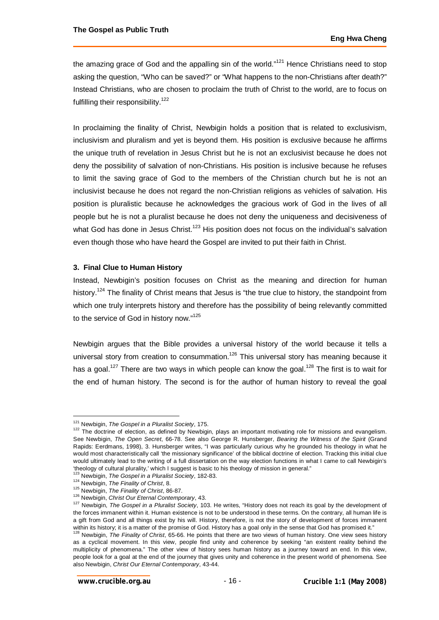the amazing grace of God and the appalling sin of the world."<sup>121</sup> Hence Christians need to stop asking the question, "Who can be saved?" or "What happens to the non-Christians after death?" Instead Christians, who are chosen to proclaim the truth of Christ to the world, are to focus on fulfilling their responsibility.<sup>122</sup>

In proclaiming the finality of Christ, Newbigin holds a position that is related to exclusivism, inclusivism and pluralism and yet is beyond them. His position is exclusive because he affirms the unique truth of revelation in Jesus Christ but he is not an exclusivist because he does not deny the possibility of salvation of non-Christians. His position is inclusive because he refuses to limit the saving grace of God to the members of the Christian church but he is not an inclusivist because he does not regard the non-Christian religions as vehicles of salvation. His position is pluralistic because he acknowledges the gracious work of God in the lives of all people but he is not a pluralist because he does not deny the uniqueness and decisiveness of what God has done in Jesus Christ.<sup>123</sup> His position does not focus on the individual's salvation even though those who have heard the Gospel are invited to put their faith in Christ.

### **3. Final Clue to Human History**

Instead, Newbigin's position focuses on Christ as the meaning and direction for human history.<sup>124</sup> The finality of Christ means that Jesus is "the true clue to history, the standpoint from which one truly interprets history and therefore has the possibility of being relevantly committed to the service of God in history now."<sup>125</sup>

Newbigin argues that the Bible provides a universal history of the world because it tells a universal story from creation to consummation.<sup>126</sup> This universal story has meaning because it has a goal.<sup>127</sup> There are two ways in which people can know the goal.<sup>128</sup> The first is to wait for the end of human history. The second is for the author of human history to reveal the goal

<sup>121</sup> Newbigin, *The Gospel in a Pluralist Society*, 175.

<sup>122</sup> The doctrine of election, as defined by Newbigin, plays an important motivating role for missions and evangelism. See Newbigin, *The Open Secret*, 66-78. See also George R. Hunsberger, *Bearing the Witness of the Spirit* (Grand Rapids: Eerdmans, 1998), 3. Hunsberger writes, "I was particularly curious why he grounded his theology in what he would most characteristically call 'the missionary significance' of the biblical doctrine of election. Tracking this initial clue would ultimately lead to the writing of a full dissertation on the way election functions in what I came to call Newbigin's 'theology of cultural plurality,' which I suggest is basic to his theology of mission in general."

<sup>123</sup> Newbigin, *The Gospel in a Pluralist Society*, 182-83.

<sup>124</sup> Newbigin, *The Finality of Christ*, 8.

<sup>125</sup> Newbigin, *The Finality of Christ*, 86-87.

<sup>126</sup> Newbigin, *Christ Our Eternal Contemporary*, 43.

<sup>127</sup> Newbigin, *The Gospel in a Pluralist Society*, 103. He writes, "History does not reach its goal by the development of the forces immanent within it. Human existence is not to be understood in these terms. On the contrary, all human life is a gift from God and all things exist by his will. History, therefore, is not the story of development of forces immanent within its history; it is a matter of the promise of God. History has a goal only in the sense that God has promised it."

<sup>128</sup> Newbigin, *The Finality of Christ*, 65-66. He points that there are two views of human history. One view sees history as a cyclical movement. In this view, people find unity and coherence by seeking "an existent reality behind the multiplicity of phenomena." The other view of history sees human history as a journey toward an end. In this view, people look for a goal at the end of the journey that gives unity and coherence in the present world of phenomena. See also Newbigin, *Christ Our Eternal Contemporary*, 43-44.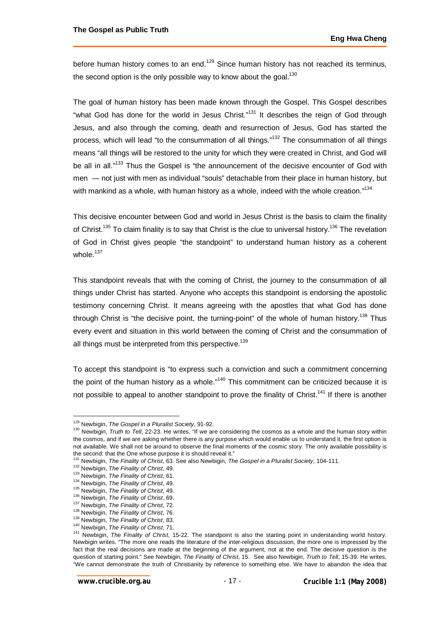before human history comes to an end.<sup>129</sup> Since human history has not reached its terminus, the second option is the only possible way to know about the goal. $130$ 

The goal of human history has been made known through the Gospel. This Gospel describes "what God has done for the world in Jesus Christ."<sup>131</sup> It describes the reign of God through Jesus, and also through the coming, death and resurrection of Jesus, God has started the process, which will lead "to the consummation of all things."<sup>132</sup> The consummation of all things means "all things will be restored to the unity for which they were created in Christ, and God will be all in all."<sup>133</sup> Thus the Gospel is "the announcement of the decisive encounter of God with men — not just with men as individual "souls" detachable from their place in human history, but with mankind as a whole, with human history as a whole, indeed with the whole creation."<sup>134</sup>

This decisive encounter between God and world in Jesus Christ is the basis to claim the finality of Christ.<sup>135</sup> To claim finality is to say that Christ is the clue to universal history.<sup>136</sup> The revelation of God in Christ gives people "the standpoint" to understand human history as a coherent whole. $137$ 

This standpoint reveals that with the coming of Christ, the journey to the consummation of all things under Christ has started. Anyone who accepts this standpoint is endorsing the apostolic testimony concerning Christ. It means agreeing with the apostles that what God has done through Christ is "the decisive point, the turning-point" of the whole of human history.<sup>138</sup> Thus every event and situation in this world between the coming of Christ and the consummation of all things must be interpreted from this perspective.<sup>139</sup>

To accept this standpoint is "to express such a conviction and such a commitment concerning the point of the human history as a whole."<sup>140</sup> This commitment can be criticized because it is not possible to appeal to another standpoint to prove the finality of Christ.<sup>141</sup> If there is another

<sup>129</sup> Newbigin, *The Gospel in a Pluralist Society*, 91-92.

<sup>&</sup>lt;sup>130</sup> Newbigin, *Truth to Tell*, 22-23. He writes, "If we are considering the cosmos as a whole and the human story within the cosmos, and if we are asking whether there is any purpose which would enable us to understand it, the first option is not available. We shall not be around to observe the final moments of the cosmic story. The only available possibility is the second: that the One whose purpose it is should reveal it."

<sup>131</sup> Newbigin, *The Finality of Christ*, 63. See also Newbigin, *The Gospel in a Pluralist Society*, 104-111.

<sup>132</sup> Newbigin, *The Finality of Christ*, 49.

<sup>133</sup> Newbigin, *The Finality of Christ*, 61.

<sup>134</sup> Newbigin, *The Finality of Christ*, 49.

<sup>135</sup> Newbigin, *The Finality of Christ*, 49.

<sup>136</sup> Newbigin, *The Finality of Christ*, 69.

<sup>137</sup> Newbigin, *The Finality of Christ*, 72.

<sup>138</sup> Newbigin, *The Finality of Christ*, 76.

<sup>139</sup> Newbigin, *The Finality of Christ*, 83.

<sup>140</sup> Newbigin, *The Finality of Christ*, 71.

<sup>&</sup>lt;sup>141</sup> Newbigin, *The Finality of Christ*, 15-22. The standpoint is also the starting point in understanding world history. Newbigin writes. "The more one reads the literature of the inter-religious discussion, the more one is impressed by the fact that the real decisions are made at the beginning of the argument, not at the end. The decisive question is the question of starting point." See Newbigin, *The Finality of Christ*, 15. See also Newbigin, *Truth to Tell*, 15-39. He writes, "We cannot demonstrate the truth of Christianity by reference to something else. We have to abandon the idea that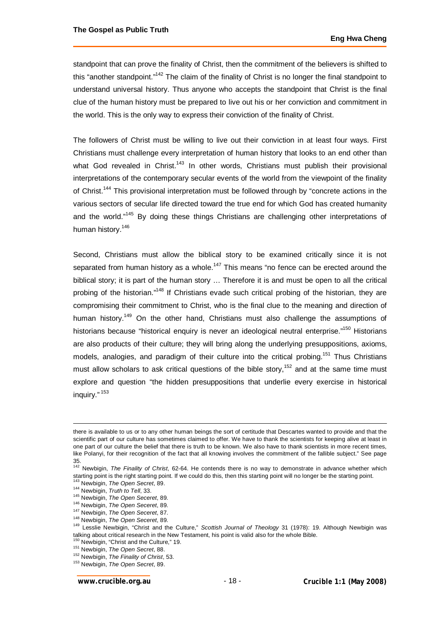standpoint that can prove the finality of Christ, then the commitment of the believers is shifted to this "another standpoint."<sup>142</sup> The claim of the finality of Christ is no longer the final standpoint to understand universal history. Thus anyone who accepts the standpoint that Christ is the final clue of the human history must be prepared to live out his or her conviction and commitment in the world. This is the only way to express their conviction of the finality of Christ.

The followers of Christ must be willing to live out their conviction in at least four ways. First Christians must challenge every interpretation of human history that looks to an end other than what God revealed in Christ.<sup>143</sup> In other words, Christians must publish their provisional interpretations of the contemporary secular events of the world from the viewpoint of the finality of Christ.<sup>144</sup> This provisional interpretation must be followed through by "concrete actions in the various sectors of secular life directed toward the true end for which God has created humanity and the world."<sup>145</sup> By doing these things Christians are challenging other interpretations of human history.<sup>146</sup>

Second, Christians must allow the biblical story to be examined critically since it is not separated from human history as a whole.<sup>147</sup> This means "no fence can be erected around the biblical story; it is part of the human story … Therefore it is and must be open to all the critical probing of the historian."<sup>148</sup> If Christians evade such critical probing of the historian, they are compromising their commitment to Christ, who is the final clue to the meaning and direction of human history.<sup>149</sup> On the other hand, Christians must also challenge the assumptions of historians because "historical enquiry is never an ideological neutral enterprise."<sup>150</sup> Historians are also products of their culture; they will bring along the underlying presuppositions, axioms, models, analogies, and paradigm of their culture into the critical probing.<sup>151</sup> Thus Christians must allow scholars to ask critical questions of the bible story,<sup>152</sup> and at the same time must explore and question "the hidden presuppositions that underlie every exercise in historical inquiry." <sup>153</sup>

there is available to us or to any other human beings the sort of certitude that Descartes wanted to provide and that the scientific part of our culture has sometimes claimed to offer. We have to thank the scientists for keeping alive at least in one part of our culture the belief that there is truth to be known. We also have to thank scientists in more recent times, like Polanyi, for their recognition of the fact that all knowing involves the commitment of the fallible subject." See page 35.

<sup>142</sup> Newbigin, *The Finality of Christ*, 62-64. He contends there is no way to demonstrate in advance whether which starting point is the right starting point. If we could do this, then this starting point will no longer be the starting point.

<sup>143</sup> Newbigin, *The Open Secret*, 89.

<sup>144</sup> Newbigin, *Truth to Tell*, 33.

<sup>145</sup> Newbigin, *The Open Seceret*, 89.

<sup>146</sup> Newbigin, *The Open Seceret*, 89.

<sup>147</sup> Newbigin, *The Open Seceret*, 87.

<sup>148</sup> Newbigin, *The Open Seceret*, 89.

<sup>149</sup> Lesslie Newbigin, "Christ and the Culture," *Scottish Journal of Theology* 31 (1978): 19. Although Newbigin was talking about critical research in the New Testament, his point is valid also for the whole Bible.

<sup>&</sup>lt;sup>150</sup> Newbigin, "Christ and the Culture," 19.

<sup>151</sup> Newbigin, *The Open Secret*, 88.

<sup>152</sup> Newbigin, *The Finality of Christ*, 53.

<sup>153</sup> Newbigin, *The Open Secret*, 89.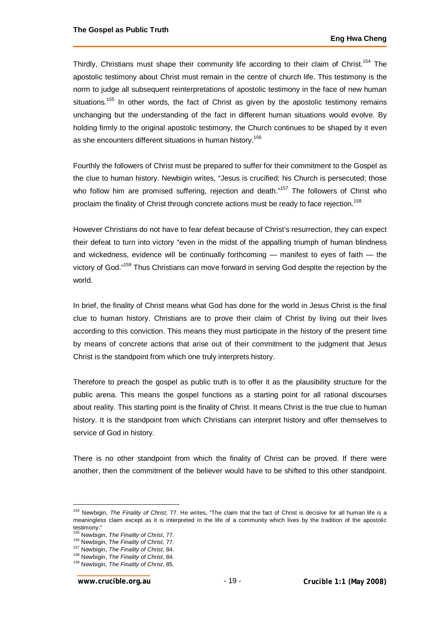Thirdly, Christians must shape their community life according to their claim of Christ.<sup>154</sup> The apostolic testimony about Christ must remain in the centre of church life. This testimony is the norm to judge all subsequent reinterpretations of apostolic testimony in the face of new human situations.<sup>155</sup> In other words, the fact of Christ as given by the apostolic testimony remains unchanging but the understanding of the fact in different human situations would evolve. By holding firmly to the original apostolic testimony, the Church continues to be shaped by it even as she encounters different situations in human history.<sup>156</sup>

Fourthly the followers of Christ must be prepared to suffer for their commitment to the Gospel as the clue to human history. Newbigin writes, "Jesus is crucified; his Church is persecuted; those who follow him are promised suffering, rejection and death."<sup>157</sup> The followers of Christ who proclaim the finality of Christ through concrete actions must be ready to face rejection.<sup>158</sup>

However Christians do not have to fear defeat because of Christ's resurrection, they can expect their defeat to turn into victory "even in the midst of the appalling triumph of human blindness and wickedness, evidence will be continually forthcoming — manifest to eyes of faith — the victory of God."<sup>159</sup> Thus Christians can move forward in serving God despite the rejection by the world.

In brief, the finality of Christ means what God has done for the world in Jesus Christ is the final clue to human history. Christians are to prove their claim of Christ by living out their lives according to this conviction. This means they must participate in the history of the present time by means of concrete actions that arise out of their commitment to the judgment that Jesus Christ is the standpoint from which one truly interprets history.

Therefore to preach the gospel as public truth is to offer it as the plausibility structure for the public arena. This means the gospel functions as a starting point for all rational discourses about reality. This starting point is the finality of Christ. It means Christ is the true clue to human history. It is the standpoint from which Christians can interpret history and offer themselves to service of God in history.

There is no other standpoint from which the finality of Christ can be proved. If there were another, then the commitment of the believer would have to be shifted to this other standpoint.

<sup>154</sup> Newbigin, *The Finality of Christ*, 77. He writes, "The claim that the fact of Christ is decisive for all human life is a meaningless claim except as it is interpreted in the life of a community which lives by the tradition of the apostolic testimony."

<sup>155</sup> Newbigin, *The Finality of Christ*, 77.

<sup>156</sup> Newbigin, *The Finality of Christ*, 77.

<sup>157</sup> Newbigin, *The Finality of Christ*, 84.

<sup>158</sup> Newbigin, *The Finality of Christ*, 84.

<sup>159</sup> Newbigin, *The Finality of Christ*, 85.